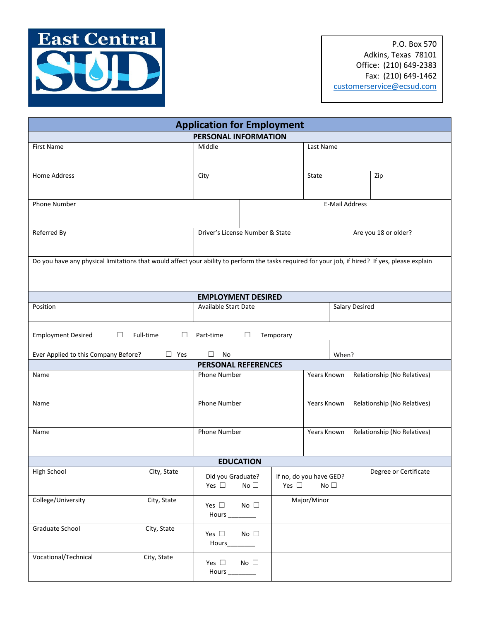

P.O. Box 570 Adkins, Texas 78101 Office: (210) 649-2383 Fax: (210) 649-1462 [customerservice@ecsud.com](mailto:customerservice@ecsud.com)

| <b>Application for Employment</b>                                                                                                                |                                                 |           |                                                       |                      |                             |  |  |
|--------------------------------------------------------------------------------------------------------------------------------------------------|-------------------------------------------------|-----------|-------------------------------------------------------|----------------------|-----------------------------|--|--|
| PERSONAL INFORMATION                                                                                                                             |                                                 |           |                                                       |                      |                             |  |  |
| First Name                                                                                                                                       | Middle                                          |           | Last Name                                             |                      |                             |  |  |
| <b>Home Address</b>                                                                                                                              | City                                            |           | State                                                 |                      | Zip                         |  |  |
| <b>Phone Number</b>                                                                                                                              | <b>E-Mail Address</b>                           |           |                                                       |                      |                             |  |  |
| Referred By                                                                                                                                      | Driver's License Number & State                 |           |                                                       | Are you 18 or older? |                             |  |  |
| Do you have any physical limitations that would affect your ability to perform the tasks required for your job, if hired? If yes, please explain |                                                 |           |                                                       |                      |                             |  |  |
|                                                                                                                                                  | <b>EMPLOYMENT DESIRED</b>                       |           |                                                       |                      |                             |  |  |
| Position                                                                                                                                         | <b>Available Start Date</b>                     |           |                                                       |                      | Salary Desired              |  |  |
| Full-time<br><b>Employment Desired</b><br>П<br>П                                                                                                 | П<br>Part-time                                  | Temporary |                                                       |                      |                             |  |  |
| Ever Applied to this Company Before?<br>$\Box$ Yes                                                                                               | $\Box$<br>No                                    |           | When?                                                 |                      |                             |  |  |
|                                                                                                                                                  | <b>PERSONAL REFERENCES</b>                      |           |                                                       |                      |                             |  |  |
| Name                                                                                                                                             | Phone Number                                    |           | Years Known                                           |                      | Relationship (No Relatives) |  |  |
| Name                                                                                                                                             | Phone Number                                    |           | Years Known                                           |                      | Relationship (No Relatives) |  |  |
| Name                                                                                                                                             | Phone Number                                    |           | Years Known                                           |                      | Relationship (No Relatives) |  |  |
| <b>EDUCATION</b>                                                                                                                                 |                                                 |           |                                                       |                      |                             |  |  |
| High School<br>City, State                                                                                                                       | Did you Graduate?<br>No $\Box$<br>Yes $\square$ |           | If no, do you have GED?<br>No $\Box$<br>Yes $\square$ |                      | Degree or Certificate       |  |  |
| College/University<br>City, State                                                                                                                | No $\square$<br>Yes $\square$<br>Hours_         |           | Major/Minor                                           |                      |                             |  |  |
| Graduate School<br>City, State                                                                                                                   | No $\square$<br>Yes $\square$<br>Hours_         |           |                                                       |                      |                             |  |  |
| Vocational/Technical<br>City, State                                                                                                              | No $\square$<br>Yes $\square$<br>Hours _______  |           |                                                       |                      |                             |  |  |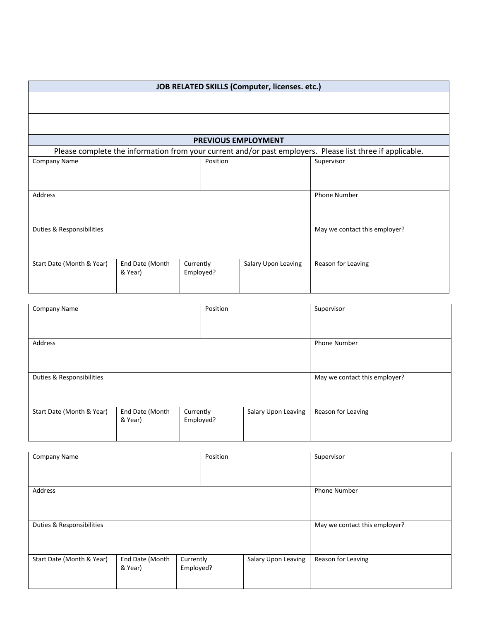| JOB RELATED SKILLS (Computer, licenses. etc.)                                                             |                            |                        |                            |                               |  |
|-----------------------------------------------------------------------------------------------------------|----------------------------|------------------------|----------------------------|-------------------------------|--|
|                                                                                                           |                            |                        |                            |                               |  |
|                                                                                                           |                            |                        |                            |                               |  |
|                                                                                                           |                            |                        | <b>PREVIOUS EMPLOYMENT</b> |                               |  |
| Please complete the information from your current and/or past employers. Please list three if applicable. |                            |                        |                            |                               |  |
| <b>Company Name</b>                                                                                       |                            | Position               |                            | Supervisor                    |  |
|                                                                                                           |                            |                        |                            |                               |  |
| Address                                                                                                   |                            |                        |                            | <b>Phone Number</b>           |  |
| Duties & Responsibilities                                                                                 |                            |                        |                            | May we contact this employer? |  |
| Start Date (Month & Year)                                                                                 | End Date (Month<br>& Year) | Currently<br>Employed? | Salary Upon Leaving        | Reason for Leaving            |  |

| <b>Company Name</b>       |                 | Position  |                     | Supervisor                    |  |
|---------------------------|-----------------|-----------|---------------------|-------------------------------|--|
|                           |                 |           |                     |                               |  |
|                           |                 |           |                     |                               |  |
| Address                   |                 |           |                     | <b>Phone Number</b>           |  |
|                           |                 |           |                     |                               |  |
|                           |                 |           |                     |                               |  |
| Duties & Responsibilities |                 |           |                     | May we contact this employer? |  |
|                           |                 |           |                     |                               |  |
|                           |                 |           |                     |                               |  |
| Start Date (Month & Year) | End Date (Month | Currently | Salary Upon Leaving | Reason for Leaving            |  |
|                           | & Year)         | Employed? |                     |                               |  |
|                           |                 |           |                     |                               |  |

| Supervisor                                |
|-------------------------------------------|
|                                           |
|                                           |
| <b>Phone Number</b>                       |
|                                           |
|                                           |
| May we contact this employer?             |
|                                           |
|                                           |
| Salary Upon Leaving<br>Reason for Leaving |
|                                           |
|                                           |
| Employed?                                 |